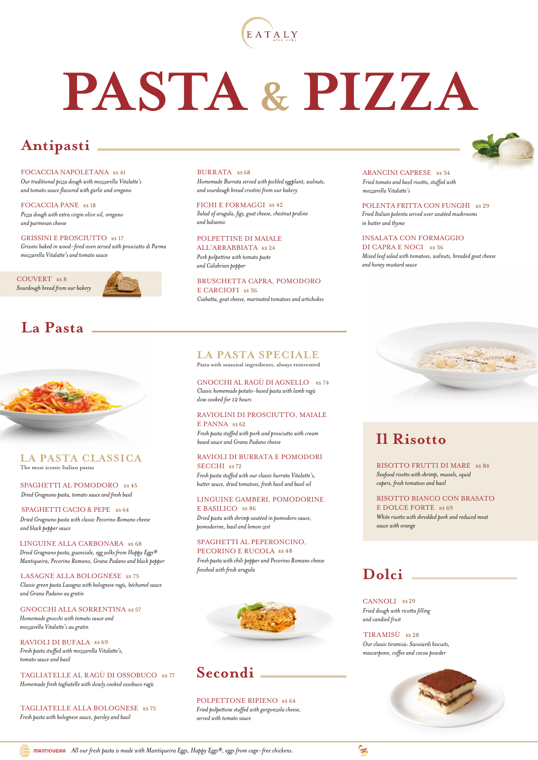

# **PASTA & PIZZA**

## **Antipasti**

FOCACCIA NAPOLETANA R\$ 41 *Our traditional pizza dough with mozzarella Vitalatte's and tomato sauce flavored with garlic and oregano*

FOCACCIA PANE R\$ 18 *Pizza dough with extra virgin olive oil, oregano and parmesan cheese*

GRISSINI E PROSCIUTTO R\$ 17 *Grissini baked in wood-fired oven served with prosciutto di Parma mozzarella Vitalatte's and tomato sauce*

COUVERT R\$ 8 *Sourdough bread from our bakery*



## **La Pasta**



#### **LA PASTA CLASSICA** The most iconic Italian pastas

SPAGHETTI AL POMODORO R\$ 45 *Dried Gragnano pasta, tomato sauce and fresh basil*

#### SPAGHETTI CACIO & PEPE R\$ 64

*Dried Gragnano pasta with classic Pecorino Romano cheese and black pepper sauce*

*Dried Gragnano pasta, guanciale, egg yolks from Happy Eggs® Mantiqueira, Pecorino Romano, Grana Padano and black pepper* LINGUINE ALLA CARBONARA R\$ 68

LASAGNE ALLA BOLOGNESE R\$ 75 *Classic green pasta Lasagna with bolognese ragù, béchamel sauce and Grana Padano au gratin*

#### GNOCCHI ALLA SORRENTINA R\$ 57 *Homemade gnocchi with tomato sauce and mozzarella Vitalatte's au gratin*

RAVIOLI DI BUFALA R\$ 69 *Fresh pasta stuffed with mozzarella Vitalatte's, tomato sauce and basil*

TAGLIATELLE AL RAGÙ DI OSSOBUCO R\$ 77 *Homemade fresh tagliatelle with slowly cooked ossobuco ragù*

TAGLIATELLE ALLA BOLOGNESE R\$ 75 *Fresh pasta with bolognese sauce, parsley and basil*

BURRATA R\$ 68 *Homemade Burrata served with pickled eggplant, walnuts, and sourdough bread crostini from our bakery*

FICHI E FORMAGGI R\$ 42 *Salad of arugula, figs, goat cheese, chestnut praline and balsamic*

#### *Pork polpettine with tomato paste*  POLPETTINE DI MAIALE ALL'ARRABBIATA R\$ 24

*and Calabrian pepper*

E CARCIOFI R\$ 36 *Ciabatta, goat cheese, marinated tomatoes and artichokes* BRUSCHETTA CAPRA, POMODORO

ARANCINI CAPRESE R\$ 34 *Fried tomato and basil risotto, stuffed with mozzarella Vitalatte's*

POLENTA FRITTA CON FUNGHI R\$ 29 *Fried Italian polenta served over sautéed mushrooms in butter and thyme*

#### INSALATA CON FORMAGGIO

DI CAPRA E NOCI R\$ 36 *Mixed leaf salad with tomatoes, walnuts, breaded goat cheese and honey mustard sauce*

#### **LA PASTA SPECIALE**

Pasta with seasonal ingredients, always reinvented

GNOCCHI AL RAGÙ DI AGNELLO R\$ 74 *Classic homemade potato-based pasta with lamb ragù slow cooked for 12 hours*

#### RAVIOLINI DI PROSCIUTTO, MAIALE E PANNA R\$62

*Fresh pasta stuffed with pork and prosciutto with cream based sauce and Grana Padano cheese*

#### RAVIOLI DI BURRATA E POMODORI SECCHI R\$72

*Fresh pasta stuffed with our classic burrata Vitalatte's, butter sauce, dried tomatoes, fresh basil and basil oil*

#### LINGUINE GAMBERI, POMODORINE E BASILICO R\$ 86

*Dried pasta with shrimp sautéed in pomodoro sauce, pomodorine, basil and lemon zest*

#### SPAGHETTI AL PEPERONCINO, PECORINO E RUCOLA R\$ 48

*Fresh pasta with chili pepper and Pecorino Romano cheese finished with fresh arugula*



## **Secondi**

POLPETTONE RIPIENO R\$ 64 *Fried polpettone stuffed with gorgonzola cheese, served with tomato sauce*



## **Il Risotto**

RISOTTO FRUTTI DI MARE R\$ 84 *Seafood risotto with shrimp, mussels, squid capers, fresh tomatoes and basil*

RISOTTO BIANCO CON BRASATO E DOLCE FORTE R\$ 69 *White risotto with shredded pork and reduced meat sauce with orange*

## **Dolci**

CANNOLI R\$29 *Fried dough with ricotta filling and candied fruit*

TIRAMISÙ R\$ 28 *Our classic tiramisù: Savoiardi biscuits, mascarpone, coffee and cocoa powder*



*All our fresh pasta is made with Mantiqueira Eggs, Happy Eggs®, eggs from cage-free chickens.*